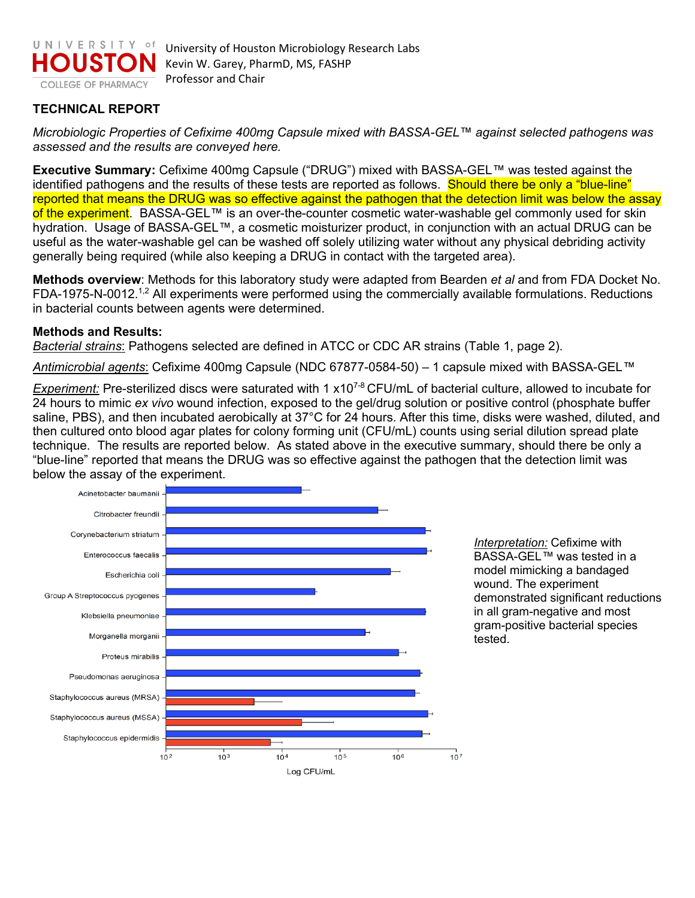

## **TECHNICAL REPORT**

*Microbiologic Properties of Cefixime 400mg Capsule mixed with BASSA-GEL™ against selected pathogens was assessed and the results are conveyed here.* 

**Executive Summary:** Cefixime 400mg Capsule ("DRUG") mixed with BASSA-GEL*™* was tested against the identified pathogens and the results of these tests are reported as follows. Should there be only a "blue-line" reported that means the DRUG was so effective against the pathogen that the detection limit was below the assay of the experiment. BASSA-GEL™ is an over-the-counter cosmetic water-washable gel commonly used for skin hydration. Usage of BASSA-GEL™, a cosmetic moisturizer product, in conjunction with an actual DRUG can be useful as the water-washable gel can be washed off solely utilizing water without any physical debriding activity generally being required (while also keeping a DRUG in contact with the targeted area).

**Methods overview**: Methods for this laboratory study were adapted from Bearden *et al* and from FDA Docket No. FDA-1975-N-0012.<sup>1,2</sup> All experiments were performed using the commercially available formulations. Reductions in bacterial counts between agents were determined.

## **Methods and Results:**

*Bacterial strains*: Pathogens selected are defined in ATCC or CDC AR strains (Table 1, page 2).

*Antimicrobial agents*: Cefixime 400mg Capsule (NDC 67877-0584-50) – 1 capsule mixed with BASSA-GEL*™*

*Experiment:* Pre-sterilized discs were saturated with 1 x107-8 CFU/mL of bacterial culture, allowed to incubate for 24 hours to mimic *ex vivo* wound infection, exposed to the gel/drug solution or positive control (phosphate buffer saline, PBS), and then incubated aerobically at 37°C for 24 hours. After this time, disks were washed, diluted, and then cultured onto blood agar plates for colony forming unit (CFU/mL) counts using serial dilution spread plate technique. The results are reported below. As stated above in the executive summary, should there be only a "blue-line" reported that means the DRUG was so effective against the pathogen that the detection limit was below the assay of the experiment.



*Interpretation:* Cefixime with BASSA-GEL*™* was tested in a model mimicking a bandaged wound. The experiment demonstrated significant reductions in all gram-negative and most gram-positive bacterial species tested.